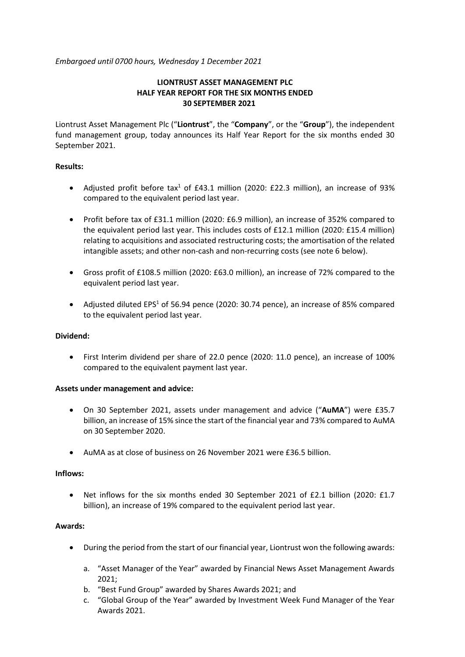*Embargoed until 0700 hours, Wednesday 1 December 2021*

# **LIONTRUST ASSET MANAGEMENT PLC HALF YEAR REPORT FOR THE SIX MONTHS ENDED 30 SEPTEMBER 2021**

Liontrust Asset Management Plc ("**Liontrust**", the "**Company**", or the "**Group**"), the independent fund management group, today announces its Half Year Report for the six months ended 30 September 2021.

# **Results:**

- Adjusted profit before tax<sup>1</sup> of £43.1 million (2020: £22.3 million), an increase of 93% compared to the equivalent period last year.
- Profit before tax of £31.1 million (2020: £6.9 million), an increase of 352% compared to the equivalent period last year. This includes costs of £12.1 million (2020: £15.4 million) relating to acquisitions and associated restructuring costs; the amortisation of the related intangible assets; and other non-cash and non-recurring costs (see note 6 below).
- Gross profit of £108.5 million (2020: £63.0 million), an increase of 72% compared to the equivalent period last year.
- Adjusted diluted EPS<sup>1</sup> of 56.94 pence (2020: 30.74 pence), an increase of 85% compared to the equivalent period last year.

# **Dividend:**

• First Interim dividend per share of 22.0 pence (2020: 11.0 pence), an increase of 100% compared to the equivalent payment last year.

# **Assets under management and advice:**

- On 30 September 2021, assets under management and advice ("**AuMA**") were £35.7 billion, an increase of 15% since the start of the financial year and 73% compared to AuMA on 30 September 2020.
- AuMA as at close of business on 26 November 2021 were £36.5 billion.

# **Inflows:**

• Net inflows for the six months ended 30 September 2021 of £2.1 billion (2020: £1.7 billion), an increase of 19% compared to the equivalent period last year.

# **Awards:**

- During the period from the start of our financial year, Liontrust won the following awards:
	- a. "Asset Manager of the Year" awarded by Financial News Asset Management Awards 2021;
	- b. "Best Fund Group" awarded by Shares Awards 2021; and
	- c. "Global Group of the Year" awarded by Investment Week Fund Manager of the Year Awards 2021.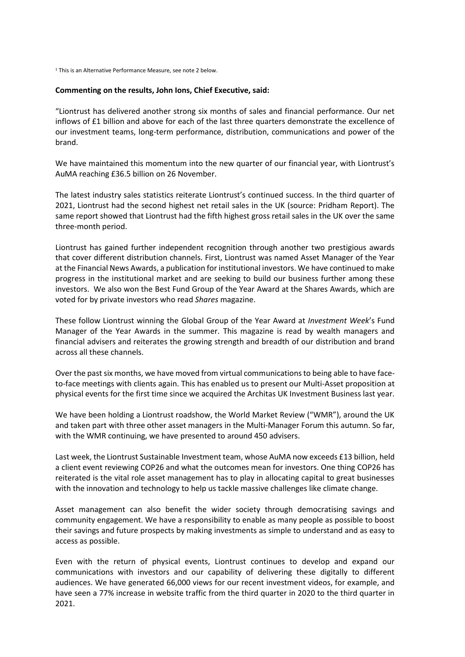<sup>1</sup> This is an Alternative Performance Measure, see note 2 below.

#### **Commenting on the results, John Ions, Chief Executive, said:**

"Liontrust has delivered another strong six months of sales and financial performance. Our net inflows of £1 billion and above for each of the last three quarters demonstrate the excellence of our investment teams, long-term performance, distribution, communications and power of the brand.

We have maintained this momentum into the new quarter of our financial year, with Liontrust's AuMA reaching £36.5 billion on 26 November.

The latest industry sales statistics reiterate Liontrust's continued success. In the third quarter of 2021, Liontrust had the second highest net retail sales in the UK (source: Pridham Report). The same report showed that Liontrust had the fifth highest gross retail sales in the UK over the same three-month period.

Liontrust has gained further independent recognition through another two prestigious awards that cover different distribution channels. First, Liontrust was named Asset Manager of the Year at the Financial News Awards, a publication for institutional investors. We have continued to make progress in the institutional market and are seeking to build our business further among these investors. We also won the Best Fund Group of the Year Award at the Shares Awards, which are voted for by private investors who read *Shares* magazine.

These follow Liontrust winning the Global Group of the Year Award at *Investment Week*'s Fund Manager of the Year Awards in the summer. This magazine is read by wealth managers and financial advisers and reiterates the growing strength and breadth of our distribution and brand across all these channels.

Over the past six months, we have moved from virtual communications to being able to have faceto-face meetings with clients again. This has enabled us to present our Multi-Asset proposition at physical events for the first time since we acquired the Architas UK Investment Business last year.

We have been holding a Liontrust roadshow, the World Market Review ("WMR"), around the UK and taken part with three other asset managers in the Multi-Manager Forum this autumn. So far, with the WMR continuing, we have presented to around 450 advisers.

Last week, the Liontrust Sustainable Investment team, whose AuMA now exceeds £13 billion, held a client event reviewing COP26 and what the outcomes mean for investors. One thing COP26 has reiterated is the vital role asset management has to play in allocating capital to great businesses with the innovation and technology to help us tackle massive challenges like climate change.

Asset management can also benefit the wider society through democratising savings and community engagement. We have a responsibility to enable as many people as possible to boost their savings and future prospects by making investments as simple to understand and as easy to access as possible.

Even with the return of physical events, Liontrust continues to develop and expand our communications with investors and our capability of delivering these digitally to different audiences. We have generated 66,000 views for our recent investment videos, for example, and have seen a 77% increase in website traffic from the third quarter in 2020 to the third quarter in 2021.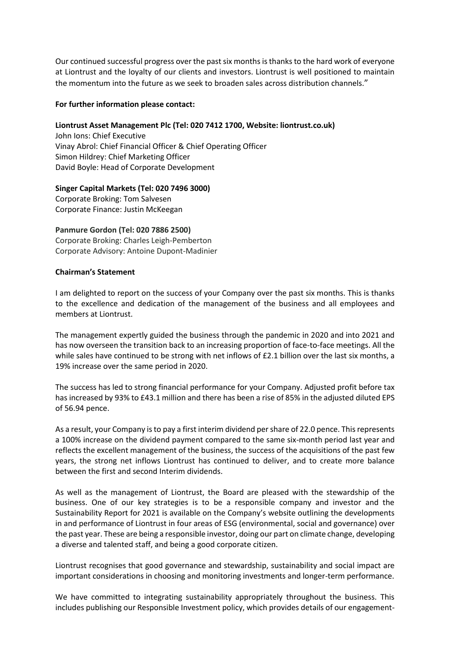Our continued successful progress over the past six months is thanks to the hard work of everyone at Liontrust and the loyalty of our clients and investors. Liontrust is well positioned to maintain the momentum into the future as we seek to broaden sales across distribution channels."

### **For further information please contact:**

### **Liontrust Asset Management Plc (Tel: 020 7412 1700, Website: liontrust.co.uk)**

John Ions: Chief Executive Vinay Abrol: Chief Financial Officer & Chief Operating Officer Simon Hildrey: Chief Marketing Officer David Boyle: Head of Corporate Development

# **Singer Capital Markets (Tel: 020 7496 3000)**

Corporate Broking: Tom Salvesen Corporate Finance: Justin McKeegan

# **Panmure Gordon (Tel: 020 7886 2500)**

Corporate Broking: Charles Leigh-Pemberton Corporate Advisory: Antoine Dupont-Madinier

### **Chairman's Statement**

I am delighted to report on the success of your Company over the past six months. This is thanks to the excellence and dedication of the management of the business and all employees and members at Liontrust.

The management expertly guided the business through the pandemic in 2020 and into 2021 and has now overseen the transition back to an increasing proportion of face-to-face meetings. All the while sales have continued to be strong with net inflows of £2.1 billion over the last six months, a 19% increase over the same period in 2020.

The success has led to strong financial performance for your Company. Adjusted profit before tax has increased by 93% to £43.1 million and there has been a rise of 85% in the adjusted diluted EPS of 56.94 pence.

As a result, your Company is to pay a first interim dividend per share of 22.0 pence. This represents a 100% increase on the dividend payment compared to the same six-month period last year and reflects the excellent management of the business, the success of the acquisitions of the past few years, the strong net inflows Liontrust has continued to deliver, and to create more balance between the first and second Interim dividends.

As well as the management of Liontrust, the Board are pleased with the stewardship of the business. One of our key strategies is to be a responsible company and investor and the Sustainability Report for 2021 is available on the Company's website outlining the developments in and performance of Liontrust in four areas of ESG (environmental, social and governance) over the past year. These are being a responsible investor, doing our part on climate change, developing a diverse and talented staff, and being a good corporate citizen.

Liontrust recognises that good governance and stewardship, sustainability and social impact are important considerations in choosing and monitoring investments and longer-term performance.

We have committed to integrating sustainability appropriately throughout the business. This includes publishing our Responsible Investment policy, which provides details of our engagement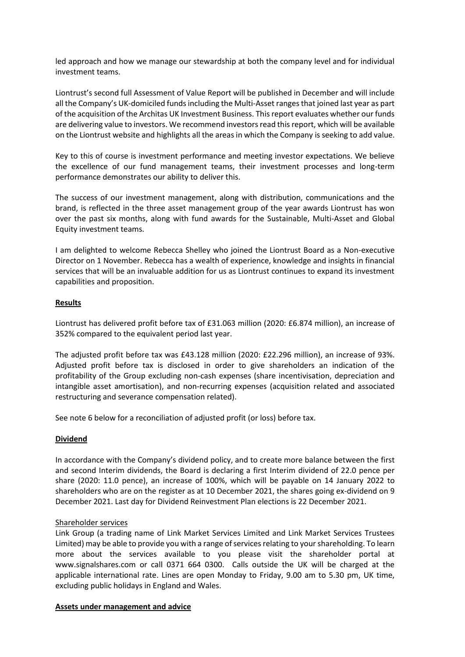led approach and how we manage our stewardship at both the company level and for individual investment teams.

Liontrust's second full Assessment of Value Report will be published in December and will include all the Company's UK-domiciled funds including the Multi-Asset ranges that joined last year as part of the acquisition of the Architas UK Investment Business. This report evaluates whether our funds are delivering value to investors. We recommend investors read this report, which will be available on the Liontrust website and highlights all the areas in which the Company is seeking to add value.

Key to this of course is investment performance and meeting investor expectations. We believe the excellence of our fund management teams, their investment processes and long-term performance demonstrates our ability to deliver this.

The success of our investment management, along with distribution, communications and the brand, is reflected in the three asset management group of the year awards Liontrust has won over the past six months, along with fund awards for the Sustainable, Multi-Asset and Global Equity investment teams.

I am delighted to welcome Rebecca Shelley who joined the Liontrust Board as a Non-executive Director on 1 November. Rebecca has a wealth of experience, knowledge and insights in financial services that will be an invaluable addition for us as Liontrust continues to expand its investment capabilities and proposition.

# **Results**

Liontrust has delivered profit before tax of £31.063 million (2020: £6.874 million), an increase of 352% compared to the equivalent period last year.

The adjusted profit before tax was £43.128 million (2020: £22.296 million), an increase of 93%. Adjusted profit before tax is disclosed in order to give shareholders an indication of the profitability of the Group excluding non-cash expenses (share incentivisation, depreciation and intangible asset amortisation), and non-recurring expenses (acquisition related and associated restructuring and severance compensation related).

See note 6 below for a reconciliation of adjusted profit (or loss) before tax.

# **Dividend**

In accordance with the Company's dividend policy, and to create more balance between the first and second Interim dividends, the Board is declaring a first Interim dividend of 22.0 pence per share (2020: 11.0 pence), an increase of 100%, which will be payable on 14 January 2022 to shareholders who are on the register as at 10 December 2021, the shares going ex-dividend on 9 December 2021. Last day for Dividend Reinvestment Plan elections is 22 December 2021.

# Shareholder services

Link Group (a trading name of Link Market Services Limited and Link Market Services Trustees Limited) may be able to provide you with a range of services relating to your shareholding. To learn more about the services available to you please visit the shareholder portal at www.signalshares.com or call 0371 664 0300. Calls outside the UK will be charged at the applicable international rate. Lines are open Monday to Friday, 9.00 am to 5.30 pm, UK time, excluding public holidays in England and Wales.

# **Assets under management and advice**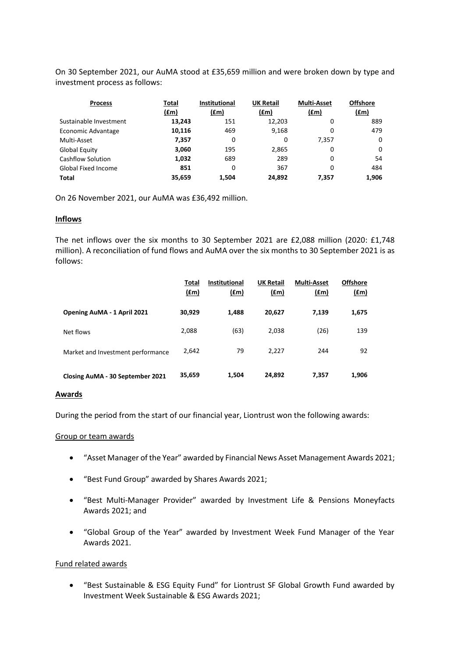On 30 September 2021, our AuMA stood at £35,659 million and were broken down by type and investment process as follows:

| <b>Process</b>         | Total<br>(fm) | <b>Institutional</b><br>(fm) | <b>UK Retail</b><br>(fm) | <b>Multi-Asset</b><br>(f.m) | <b>Offshore</b><br>(fm) |
|------------------------|---------------|------------------------------|--------------------------|-----------------------------|-------------------------|
| Sustainable Investment | 13,243        | 151                          | 12,203                   | 0                           | 889                     |
| Economic Advantage     | 10,116        | 469                          | 9,168                    | 0                           | 479                     |
| Multi-Asset            | 7,357         | 0                            | 0                        | 7.357                       | 0                       |
| <b>Global Equity</b>   | 3,060         | 195                          | 2,865                    | 0                           | 0                       |
| Cashflow Solution      | 1,032         | 689                          | 289                      | 0                           | 54                      |
| Global Fixed Income    | 851           | 0                            | 367                      | 0                           | 484                     |
| <b>Total</b>           | 35,659        | 1.504                        | 24,892                   | 7.357                       | 1,906                   |

On 26 November 2021, our AuMA was £36,492 million.

### **Inflows**

The net inflows over the six months to 30 September 2021 are £2,088 million (2020: £1,748 million). A reconciliation of fund flows and AuMA over the six months to 30 September 2021 is as follows:

|                                   | Total<br>$(\text{fm})$ | <b>Institutional</b><br><u>(£m)</u> | <b>UK Retail</b><br>(f.m) | <b>Multi-Asset</b><br>(f.m) | <b>Offshore</b><br><u>(£m)</u> |
|-----------------------------------|------------------------|-------------------------------------|---------------------------|-----------------------------|--------------------------------|
| Opening AuMA - 1 April 2021       | 30,929                 | 1,488                               | 20,627                    | 7,139                       | 1,675                          |
| Net flows                         | 2,088                  | (63)                                | 2,038                     | (26)                        | 139                            |
| Market and Investment performance | 2.642                  | 79                                  | 2,227                     | 244                         | 92                             |
| Closing AuMA - 30 September 2021  | 35,659                 | 1,504                               | 24,892                    | 7,357                       | 1,906                          |

#### **Awards**

During the period from the start of our financial year, Liontrust won the following awards:

### Group or team awards

- "Asset Manager of the Year" awarded by Financial News Asset Management Awards 2021;
- "Best Fund Group" awarded by Shares Awards 2021;
- "Best Multi-Manager Provider" awarded by Investment Life & Pensions Moneyfacts Awards 2021; and
- "Global Group of the Year" awarded by Investment Week Fund Manager of the Year Awards 2021.

### Fund related awards

• "Best Sustainable & ESG Equity Fund" for Liontrust SF Global Growth Fund awarded by Investment Week Sustainable & ESG Awards 2021;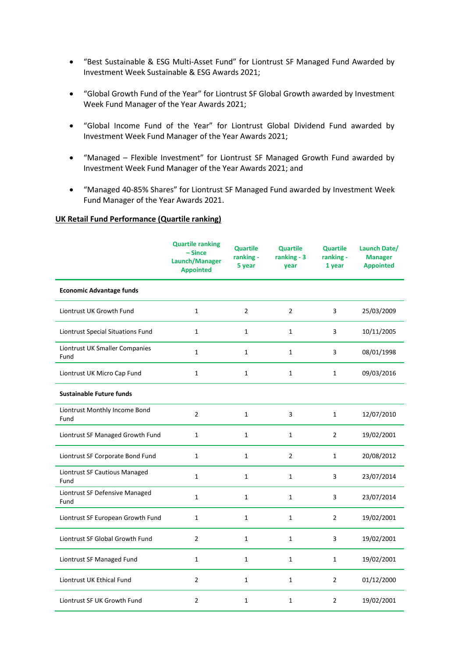- "Best Sustainable & ESG Multi-Asset Fund" for Liontrust SF Managed Fund Awarded by Investment Week Sustainable & ESG Awards 2021;
- "Global Growth Fund of the Year" for Liontrust SF Global Growth awarded by Investment Week Fund Manager of the Year Awards 2021;
- "Global Income Fund of the Year" for Liontrust Global Dividend Fund awarded by Investment Week Fund Manager of the Year Awards 2021;
- "Managed Flexible Investment" for Liontrust SF Managed Growth Fund awarded by Investment Week Fund Manager of the Year Awards 2021; and
- "Managed 40-85% Shares" for Liontrust SF Managed Fund awarded by Investment Week Fund Manager of the Year Awards 2021.

#### **UK Retail Fund Performance (Quartile ranking)**

|                                        | <b>Quartile ranking</b><br>$-Since$<br>Launch/Manager<br><b>Appointed</b> | <b>Quartile</b><br>ranking -<br>5 year | <b>Quartile</b><br>ranking - 3<br>year | <b>Quartile</b><br>ranking -<br>1 year | Launch Date/<br><b>Manager</b><br><b>Appointed</b> |
|----------------------------------------|---------------------------------------------------------------------------|----------------------------------------|----------------------------------------|----------------------------------------|----------------------------------------------------|
| <b>Economic Advantage funds</b>        |                                                                           |                                        |                                        |                                        |                                                    |
| Liontrust UK Growth Fund               | $\mathbf{1}$                                                              | $\overline{2}$                         | $\overline{2}$                         | 3                                      | 25/03/2009                                         |
| Liontrust Special Situations Fund      | $\mathbf 1$                                                               | $\mathbf{1}$                           | $\mathbf{1}$                           | 3                                      | 10/11/2005                                         |
| Liontrust UK Smaller Companies<br>Fund | $\mathbf{1}$                                                              | $\mathbf{1}$                           | $\mathbf{1}$                           | 3                                      | 08/01/1998                                         |
| Liontrust UK Micro Cap Fund            | $\mathbf{1}$                                                              | $\mathbf{1}$                           | 1                                      | $\mathbf{1}$                           | 09/03/2016                                         |
| <b>Sustainable Future funds</b>        |                                                                           |                                        |                                        |                                        |                                                    |
| Liontrust Monthly Income Bond<br>Fund  | $\overline{2}$                                                            | $\mathbf{1}$                           | 3                                      | $\mathbf{1}$                           | 12/07/2010                                         |
| Liontrust SF Managed Growth Fund       | $\mathbf{1}$                                                              | $\mathbf{1}$                           | $\mathbf{1}$                           | $\overline{2}$                         | 19/02/2001                                         |
| Liontrust SF Corporate Bond Fund       | 1                                                                         | $\mathbf{1}$                           | $\overline{2}$                         | $\mathbf{1}$                           | 20/08/2012                                         |
| Liontrust SF Cautious Managed<br>Fund  | $\mathbf{1}$                                                              | $\mathbf{1}$                           | $\mathbf{1}$                           | 3                                      | 23/07/2014                                         |
| Liontrust SF Defensive Managed<br>Fund | $\mathbf{1}$                                                              | $\mathbf{1}$                           | $\mathbf{1}$                           | 3                                      | 23/07/2014                                         |
| Liontrust SF European Growth Fund      | $\mathbf{1}$                                                              | $\mathbf{1}$                           | $\mathbf{1}$                           | $\overline{2}$                         | 19/02/2001                                         |
| Liontrust SF Global Growth Fund        | $\overline{2}$                                                            | $\mathbf{1}$                           | $\mathbf{1}$                           | 3                                      | 19/02/2001                                         |
| Liontrust SF Managed Fund              | $\mathbf{1}$                                                              | $\mathbf{1}$                           | $\mathbf{1}$                           | $\mathbf{1}$                           | 19/02/2001                                         |
| Liontrust UK Ethical Fund              | 2                                                                         | $\mathbf{1}$                           | $\mathbf{1}$                           | $\overline{2}$                         | 01/12/2000                                         |
| Liontrust SF UK Growth Fund            | 2                                                                         | $\mathbf{1}$                           | $\mathbf{1}$                           | 2                                      | 19/02/2001                                         |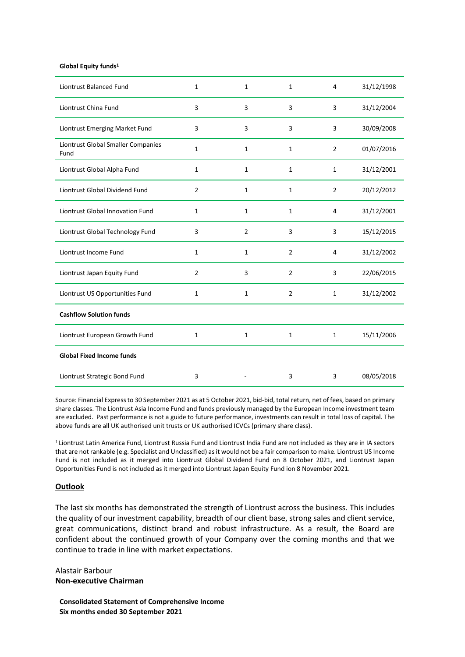#### **Global Equity funds<sup>1</sup>**

| <b>Liontrust Balanced Fund</b>             | $\mathbf{1}$   | $\mathbf{1}$   | $\mathbf{1}$   | $\overline{4}$ | 31/12/1998 |
|--------------------------------------------|----------------|----------------|----------------|----------------|------------|
| Liontrust China Fund                       | 3              | 3              | 3              | 3              | 31/12/2004 |
| Liontrust Emerging Market Fund             | 3              | 3              | 3              | 3              | 30/09/2008 |
| Liontrust Global Smaller Companies<br>Fund | $\mathbf{1}$   | $\mathbf{1}$   | 1              | $\overline{2}$ | 01/07/2016 |
| Liontrust Global Alpha Fund                | $\mathbf{1}$   | $\mathbf{1}$   | $\mathbf{1}$   | $\mathbf{1}$   | 31/12/2001 |
| Liontrust Global Dividend Fund             | $\overline{2}$ | $\mathbf{1}$   | $\mathbf{1}$   | $\overline{2}$ | 20/12/2012 |
| <b>Liontrust Global Innovation Fund</b>    | $\mathbf{1}$   | $\mathbf{1}$   | $\mathbf{1}$   | $\overline{4}$ | 31/12/2001 |
| Liontrust Global Technology Fund           | 3              | $\overline{2}$ | 3              | 3              | 15/12/2015 |
| Liontrust Income Fund                      | $\mathbf{1}$   | $\mathbf{1}$   | $\overline{2}$ | 4              | 31/12/2002 |
| Liontrust Japan Equity Fund                | $\overline{2}$ | 3              | $\overline{2}$ | 3              | 22/06/2015 |
| Liontrust US Opportunities Fund            | $\mathbf{1}$   | $\mathbf{1}$   | $\overline{2}$ | $\mathbf{1}$   | 31/12/2002 |
| <b>Cashflow Solution funds</b>             |                |                |                |                |            |
| Liontrust European Growth Fund             | $\mathbf{1}$   | $\mathbf{1}$   | $\mathbf{1}$   | $\mathbf{1}$   | 15/11/2006 |
| <b>Global Fixed Income funds</b>           |                |                |                |                |            |
| Liontrust Strategic Bond Fund              | 3              |                | 3              | 3              | 08/05/2018 |

Source: Financial Express to 30 September 2021 as at 5 October 2021, bid-bid, total return, net of fees, based on primary share classes. The Liontrust Asia Income Fund and funds previously managed by the European Income investment team are excluded. Past performance is not a guide to future performance, investments can result in total loss of capital. The above funds are all UK authorised unit trusts or UK authorised ICVCs (primary share class).

<sup>1</sup> Liontrust Latin America Fund, Liontrust Russia Fund and Liontrust India Fund are not included as they are in IA sectors that are not rankable (e.g. Specialist and Unclassified) as it would not be a fair comparison to make. Liontrust US Income Fund is not included as it merged into Liontrust Global Dividend Fund on 8 October 2021, and Liontrust Japan Opportunities Fund is not included as it merged into Liontrust Japan Equity Fund ion 8 November 2021.

#### **Outlook**

The last six months has demonstrated the strength of Liontrust across the business. This includes the quality of our investment capability, breadth of our client base, strong sales and client service, great communications, distinct brand and robust infrastructure. As a result, the Board are confident about the continued growth of your Company over the coming months and that we continue to trade in line with market expectations.

Alastair Barbour **Non-executive Chairman**

**Consolidated Statement of Comprehensive Income Six months ended 30 September 2021**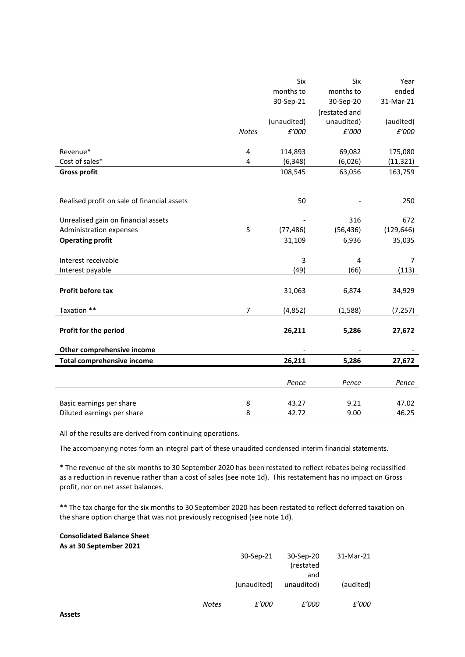|                                             |                         | Six         | Six           | Year       |
|---------------------------------------------|-------------------------|-------------|---------------|------------|
|                                             |                         | months to   | months to     | ended      |
|                                             |                         | 30-Sep-21   | 30-Sep-20     | 31-Mar-21  |
|                                             |                         |             | (restated and |            |
|                                             |                         | (unaudited) | unaudited)    | (audited)  |
|                                             | <b>Notes</b>            | £'000       | £'000         | £'000      |
|                                             |                         |             |               |            |
| Revenue*                                    | 4                       | 114,893     | 69,082        | 175,080    |
| Cost of sales*                              | $\overline{\mathbf{4}}$ | (6, 348)    | (6,026)       | (11, 321)  |
| <b>Gross profit</b>                         |                         | 108,545     | 63,056        | 163,759    |
|                                             |                         |             |               |            |
|                                             |                         |             |               |            |
| Realised profit on sale of financial assets |                         | 50          |               | 250        |
|                                             |                         |             |               |            |
| Unrealised gain on financial assets         |                         |             | 316           | 672        |
| Administration expenses                     | 5                       | (77, 486)   | (56, 436)     | (129, 646) |
| <b>Operating profit</b>                     |                         | 31,109      | 6,936         | 35,035     |
|                                             |                         |             |               |            |
| Interest receivable                         |                         | 3           | 4             | 7          |
| Interest payable                            |                         | (49)        | (66)          | (113)      |
|                                             |                         |             |               |            |
| Profit before tax                           |                         | 31,063      | 6,874         | 34,929     |
|                                             |                         |             |               |            |
| Taxation **                                 | $\overline{7}$          | (4, 852)    | (1, 588)      | (7, 257)   |
|                                             |                         |             |               |            |
| Profit for the period                       |                         | 26,211      | 5,286         | 27,672     |
| Other comprehensive income                  |                         |             |               |            |
| <b>Total comprehensive income</b>           |                         | 26,211      | 5,286         | 27,672     |
|                                             |                         |             |               |            |
|                                             |                         |             |               |            |
|                                             |                         | Pence       | Pence         | Pence      |
|                                             |                         |             |               |            |
| Basic earnings per share                    | 8                       | 43.27       | 9.21          | 47.02      |
| Diluted earnings per share                  | 8                       | 42.72       | 9.00          | 46.25      |

All of the results are derived from continuing operations.

The accompanying notes form an integral part of these unaudited condensed interim financial statements.

\* The revenue of the six months to 30 September 2020 has been restated to reflect rebates being reclassified as a reduction in revenue rather than a cost of sales (see note 1d). This restatement has no impact on Gross profit, nor on net asset balances.

\*\* The tax charge for the six months to 30 September 2020 has been restated to reflect deferred taxation on the share option charge that was not previously recognised (see note 1d).

#### **Consolidated Balance Sheet As at 30 September 2021**

|       | 30-Sep-21    | 30-Sep-20<br>(restated<br>and | 31-Mar-21    |
|-------|--------------|-------------------------------|--------------|
|       | (unaudited)  | unaudited)                    | (audited)    |
| Notes | <i>£'000</i> | <i>£'000</i>                  | <i>£'000</i> |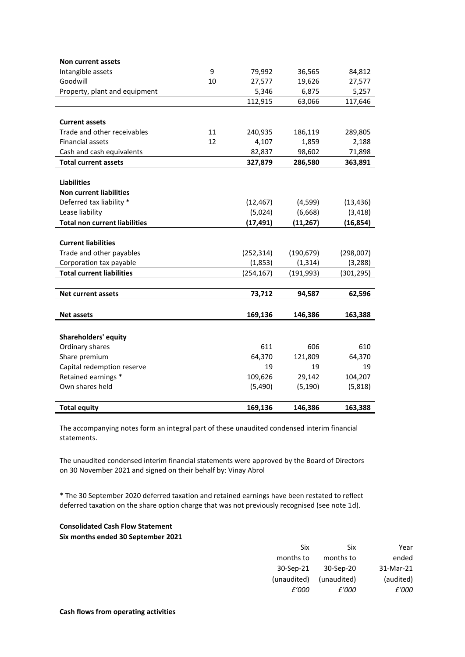| Non current assets                   |    |            |            |            |
|--------------------------------------|----|------------|------------|------------|
| Intangible assets                    | 9  | 79,992     | 36,565     | 84,812     |
| Goodwill                             | 10 | 27,577     | 19,626     | 27,577     |
| Property, plant and equipment        |    | 5,346      | 6,875      | 5,257      |
|                                      |    | 112,915    | 63,066     | 117,646    |
|                                      |    |            |            |            |
| <b>Current assets</b>                |    |            |            |            |
| Trade and other receivables          | 11 | 240,935    | 186,119    | 289,805    |
| <b>Financial assets</b>              | 12 | 4,107      | 1,859      | 2,188      |
| Cash and cash equivalents            |    | 82,837     | 98,602     | 71,898     |
| <b>Total current assets</b>          |    | 327,879    | 286,580    | 363,891    |
|                                      |    |            |            |            |
| <b>Liabilities</b>                   |    |            |            |            |
| <b>Non current liabilities</b>       |    |            |            |            |
| Deferred tax liability *             |    | (12, 467)  | (4,599)    | (13, 436)  |
| Lease liability                      |    | (5,024)    | (6,668)    | (3, 418)   |
| <b>Total non current liabilities</b> |    | (17, 491)  | (11, 267)  | (16, 854)  |
|                                      |    |            |            |            |
| <b>Current liabilities</b>           |    |            |            |            |
| Trade and other payables             |    | (252, 314) | (190, 679) | (298,007)  |
| Corporation tax payable              |    | (1, 853)   | (1, 314)   | (3, 288)   |
| <b>Total current liabilities</b>     |    | (254, 167) | (191, 993) | (301, 295) |
|                                      |    |            |            |            |
| Net current assets                   |    | 73,712     | 94,587     | 62,596     |
|                                      |    |            |            |            |
| <b>Net assets</b>                    |    | 169,136    | 146,386    | 163,388    |
|                                      |    |            |            |            |
| <b>Shareholders' equity</b>          |    |            |            |            |
| Ordinary shares                      |    | 611        | 606        | 610        |
| Share premium                        |    | 64,370     | 121,809    | 64,370     |
| Capital redemption reserve           |    | 19         | 19         | 19         |
| Retained earnings *                  |    | 109,626    | 29,142     | 104,207    |
| Own shares held                      |    | (5,490)    | (5, 190)   | (5,818)    |
|                                      |    |            |            |            |
| <b>Total equity</b>                  |    | 169,136    | 146,386    | 163,388    |

The accompanying notes form an integral part of these unaudited condensed interim financial statements.

The unaudited condensed interim financial statements were approved by the Board of Directors on 30 November 2021 and signed on their behalf by: Vinay Abrol

\* The 30 September 2020 deferred taxation and retained earnings have been restated to reflect deferred taxation on the share option charge that was not previously recognised (see note 1d).

# **Consolidated Cash Flow Statement**

**Six months ended 30 September 2021**

| Year      | Six         | Six         |
|-----------|-------------|-------------|
| ended     | months to   | months to   |
| 31-Mar-21 | 30-Sep-20   | 30-Sep-21   |
| (audited) | (unaudited) | (unaudited) |
| £'000     | £'000       | f'000       |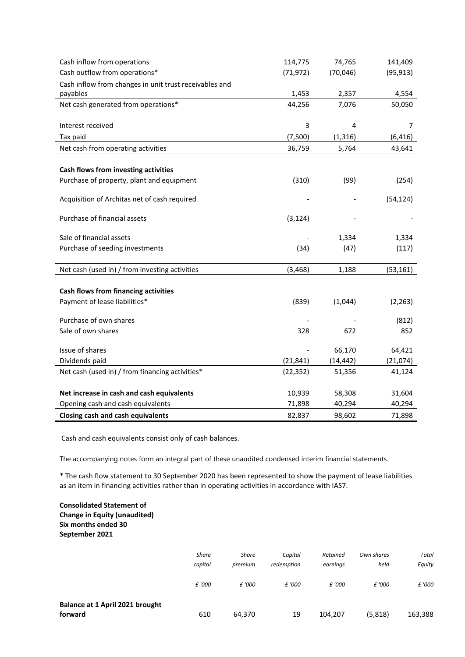| Cash inflow from operations                            | 114,775   | 74,765    | 141,409   |
|--------------------------------------------------------|-----------|-----------|-----------|
| Cash outflow from operations*                          | (71, 972) | (70,046)  | (95, 913) |
| Cash inflow from changes in unit trust receivables and |           |           |           |
| payables                                               | 1,453     | 2,357     | 4,554     |
| Net cash generated from operations*                    | 44,256    | 7,076     | 50,050    |
|                                                        |           |           |           |
| Interest received                                      | 3         | 4         | 7         |
| Tax paid                                               | (7,500)   | (1, 316)  | (6, 416)  |
| Net cash from operating activities                     | 36,759    | 5,764     | 43,641    |
|                                                        |           |           |           |
| Cash flows from investing activities                   |           |           |           |
| Purchase of property, plant and equipment              | (310)     | (99)      | (254)     |
|                                                        |           |           |           |
| Acquisition of Architas net of cash required           |           |           | (54, 124) |
| Purchase of financial assets                           | (3, 124)  |           |           |
|                                                        |           |           |           |
| Sale of financial assets                               |           | 1,334     | 1,334     |
| Purchase of seeding investments                        | (34)      | (47)      | (117)     |
|                                                        |           |           |           |
| Net cash (used in) / from investing activities         | (3, 468)  | 1,188     | (53, 161) |
|                                                        |           |           |           |
| <b>Cash flows from financing activities</b>            |           |           |           |
| Payment of lease liabilities*                          | (839)     | (1,044)   | (2, 263)  |
| Purchase of own shares                                 |           |           | (812)     |
| Sale of own shares                                     | 328       | 672       | 852       |
|                                                        |           |           |           |
| Issue of shares                                        |           | 66,170    | 64,421    |
| Dividends paid                                         | (21, 841) | (14, 442) | (21,074)  |
| Net cash (used in) / from financing activities*        | (22, 352) | 51,356    | 41,124    |
|                                                        |           |           |           |
| Net increase in cash and cash equivalents              | 10,939    | 58,308    | 31,604    |
| Opening cash and cash equivalents                      | 71,898    | 40,294    | 40,294    |
| <b>Closing cash and cash equivalents</b>               | 82,837    | 98,602    | 71,898    |

Cash and cash equivalents consist only of cash balances.

The accompanying notes form an integral part of these unaudited condensed interim financial statements.

\* The cash flow statement to 30 September 2020 has been represented to show the payment of lease liabilities as an item in financing activities rather than in operating activities in accordance with IAS7.

### **Consolidated Statement of Change in Equity (unaudited) Six months ended 30 September 2021**

|                                            | <b>Share</b><br>capital | <b>Share</b><br>premium | Capital<br>redemption | Retained<br>earnings | Own shares<br>held | Total<br>Equity |
|--------------------------------------------|-------------------------|-------------------------|-----------------------|----------------------|--------------------|-----------------|
|                                            | £ '000                  | £ '000                  | £ '000                | £ '000               | £ '000             | £ '000          |
| Balance at 1 April 2021 brought<br>forward | 610                     | 64,370                  | 19                    | 104,207              | (5,818)            | 163,388         |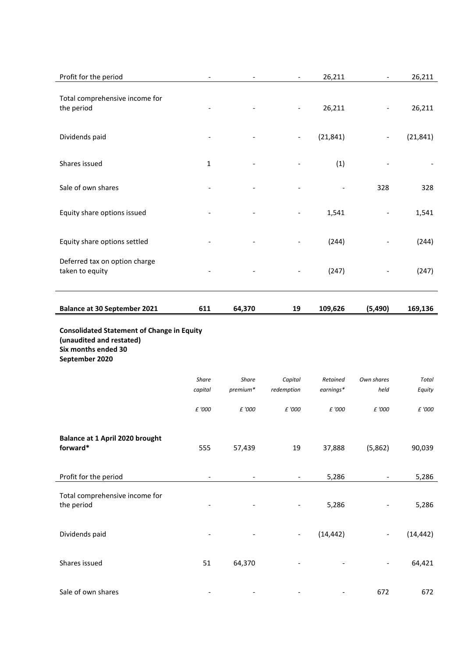| Profit for the period                                             |                          |                                                   | $\overline{\phantom{a}}$ | 26,211                | $\overline{\phantom{a}}$ | 26,211                 |  |  |  |  |  |
|-------------------------------------------------------------------|--------------------------|---------------------------------------------------|--------------------------|-----------------------|--------------------------|------------------------|--|--|--|--|--|
| Total comprehensive income for<br>the period                      |                          |                                                   |                          | 26,211                |                          | 26,211                 |  |  |  |  |  |
| Dividends paid                                                    |                          |                                                   | $\overline{\phantom{a}}$ | (21, 841)             | $\overline{a}$           | (21, 841)              |  |  |  |  |  |
| Shares issued                                                     | $\mathbf{1}$             |                                                   |                          | (1)                   |                          |                        |  |  |  |  |  |
| Sale of own shares                                                |                          |                                                   |                          |                       | 328                      | 328                    |  |  |  |  |  |
| Equity share options issued                                       |                          |                                                   |                          | 1,541                 | $\overline{\phantom{a}}$ | 1,541                  |  |  |  |  |  |
| Equity share options settled                                      |                          |                                                   |                          | (244)                 |                          | (244)                  |  |  |  |  |  |
| Deferred tax on option charge<br>taken to equity                  |                          |                                                   |                          | (247)                 |                          | (247)                  |  |  |  |  |  |
| <b>Balance at 30 September 2021</b>                               | 611                      | 64,370                                            | 19                       | 109,626               | (5, 490)                 | 169,136                |  |  |  |  |  |
| (unaudited and restated)<br>Six months ended 30<br>September 2020 |                          | <b>Consolidated Statement of Change in Equity</b> |                          |                       |                          |                        |  |  |  |  |  |
|                                                                   |                          |                                                   |                          |                       |                          |                        |  |  |  |  |  |
|                                                                   | Share<br>capital         | <b>Share</b><br>premium*                          | Capital<br>redemption    | Retained<br>earnings* | Own shares<br>held       | <b>Total</b><br>Equity |  |  |  |  |  |
|                                                                   | £ '000                   | £ '000                                            | £ '000                   | £ '000                | £ '000                   | £ '000                 |  |  |  |  |  |
| Balance at 1 April 2020 brought<br>forward*                       | 555                      | 57,439                                            | 19                       | 37,888                | (5,862)                  | 90,039                 |  |  |  |  |  |
| Profit for the period                                             | $\overline{\phantom{a}}$ |                                                   | $\overline{\phantom{a}}$ | 5,286                 |                          | 5,286                  |  |  |  |  |  |
| Total comprehensive income for<br>the period                      |                          |                                                   |                          | 5,286                 |                          | 5,286                  |  |  |  |  |  |
| Dividends paid                                                    |                          |                                                   | $\overline{\phantom{a}}$ | (14, 442)             |                          | (14, 442)              |  |  |  |  |  |
| Shares issued                                                     | 51                       | 64,370                                            |                          |                       |                          | 64,421                 |  |  |  |  |  |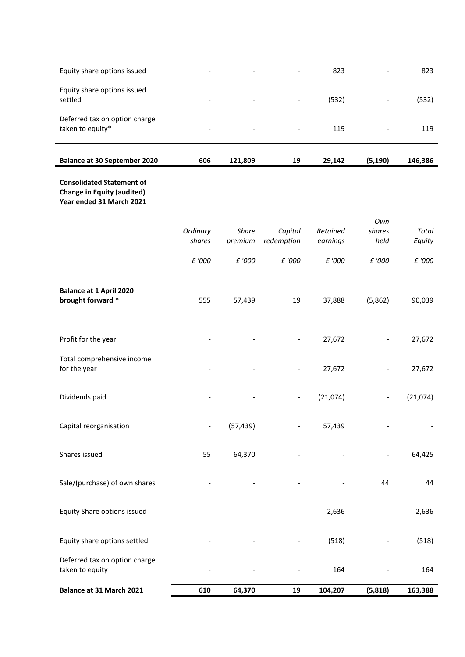| <b>Balance at 30 September 2020</b>               | 606                      | 121,809                  | 19                       | 29,142 | (5, 190) | 146,386 |
|---------------------------------------------------|--------------------------|--------------------------|--------------------------|--------|----------|---------|
| Deferred tax on option charge<br>taken to equity* | $\overline{\phantom{a}}$ | $\overline{\phantom{0}}$ | $\overline{\phantom{a}}$ | 119    | -        | 119     |
| Equity share options issued<br>settled            | -                        | $\overline{\phantom{a}}$ | $\overline{\phantom{a}}$ | (532)  | -        | (532)   |
| Equity share options issued                       | $\overline{\phantom{a}}$ | $\overline{\phantom{0}}$ | $\overline{\phantom{0}}$ | 823    | -        | 823     |

# **Consolidated Statement of Change in Equity (audited) Year ended 31 March 2021**

| Balance at 31 March 2021                            | 610                      | 64,370                  | 19                           | 104,207              | (5,818)        | 163,388         |
|-----------------------------------------------------|--------------------------|-------------------------|------------------------------|----------------------|----------------|-----------------|
| Deferred tax on option charge<br>taken to equity    |                          |                         |                              | 164                  |                | 164             |
| Equity share options settled                        |                          |                         |                              | (518)                |                | (518)           |
| Equity Share options issued                         |                          |                         |                              | 2,636                |                | 2,636           |
| Sale/(purchase) of own shares                       |                          |                         |                              |                      | 44             | 44              |
| Shares issued                                       | 55                       | 64,370                  |                              |                      |                | 64,425          |
| Capital reorganisation                              | $\overline{\phantom{a}}$ | (57, 439)               |                              | 57,439               |                |                 |
| Dividends paid                                      |                          |                         | $\overline{\phantom{a}}$     | (21,074)             |                | (21,074)        |
| Total comprehensive income<br>for the year          |                          |                         | $\qquad \qquad \blacksquare$ | 27,672               |                | 27,672          |
| Profit for the year                                 |                          |                         | $\overline{\phantom{a}}$     | 27,672               |                | 27,672          |
| <b>Balance at 1 April 2020</b><br>brought forward * | 555                      | 57,439                  | 19                           | 37,888               | (5,862)        | 90,039          |
|                                                     | £ '000                   | £ '000                  | £ '000                       | £ '000               | £ '000         | £ '000          |
|                                                     | Ordinary<br>shares       | <b>Share</b><br>premium | Capital<br>redemption        | Retained<br>earnings | shares<br>held | Total<br>Equity |
|                                                     |                          |                         |                              |                      | Own            |                 |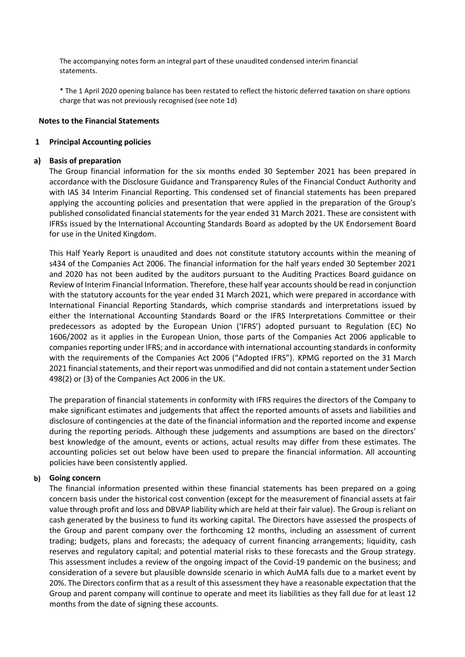The accompanying notes form an integral part of these unaudited condensed interim financial statements.

\* The 1 April 2020 opening balance has been restated to reflect the historic deferred taxation on share options charge that was not previously recognised (see note 1d)

#### **Notes to the Financial Statements**

### **1 Principal Accounting policies**

### **a) Basis of preparation**

The Group financial information for the six months ended 30 September 2021 has been prepared in accordance with the Disclosure Guidance and Transparency Rules of the Financial Conduct Authority and with IAS 34 Interim Financial Reporting. This condensed set of financial statements has been prepared applying the accounting policies and presentation that were applied in the preparation of the Group's published consolidated financial statements for the year ended 31 March 2021. These are consistent with IFRSs issued by the International Accounting Standards Board as adopted by the UK Endorsement Board for use in the United Kingdom.

This Half Yearly Report is unaudited and does not constitute statutory accounts within the meaning of s434 of the Companies Act 2006. The financial information for the half years ended 30 September 2021 and 2020 has not been audited by the auditors pursuant to the Auditing Practices Board guidance on Review of Interim Financial Information. Therefore, these half year accounts should be read in conjunction with the statutory accounts for the year ended 31 March 2021, which were prepared in accordance with International Financial Reporting Standards, which comprise standards and interpretations issued by either the International Accounting Standards Board or the IFRS Interpretations Committee or their predecessors as adopted by the European Union ('IFRS') adopted pursuant to Regulation (EC) No 1606/2002 as it applies in the European Union, those parts of the Companies Act 2006 applicable to companies reporting under IFRS; and in accordance with international accounting standards in conformity with the requirements of the Companies Act 2006 ("Adopted IFRS"). KPMG reported on the 31 March 2021 financial statements, and their report was unmodified and did not contain a statement under Section 498(2) or (3) of the Companies Act 2006 in the UK.

The preparation of financial statements in conformity with IFRS requires the directors of the Company to make significant estimates and judgements that affect the reported amounts of assets and liabilities and disclosure of contingencies at the date of the financial information and the reported income and expense during the reporting periods. Although these judgements and assumptions are based on the directors' best knowledge of the amount, events or actions, actual results may differ from these estimates. The accounting policies set out below have been used to prepare the financial information. All accounting policies have been consistently applied.

# **b) Going concern**

The financial information presented within these financial statements has been prepared on a going concern basis under the historical cost convention (except for the measurement of financial assets at fair value through profit and loss and DBVAP liability which are held at their fair value). The Group is reliant on cash generated by the business to fund its working capital. The Directors have assessed the prospects of the Group and parent company over the forthcoming 12 months, including an assessment of current trading; budgets, plans and forecasts; the adequacy of current financing arrangements; liquidity, cash reserves and regulatory capital; and potential material risks to these forecasts and the Group strategy. This assessment includes a review of the ongoing impact of the Covid-19 pandemic on the business; and consideration of a severe but plausible downside scenario in which AuMA falls due to a market event by 20%. The Directors confirm that as a result of this assessment they have a reasonable expectation that the Group and parent company will continue to operate and meet its liabilities as they fall due for at least 12 months from the date of signing these accounts.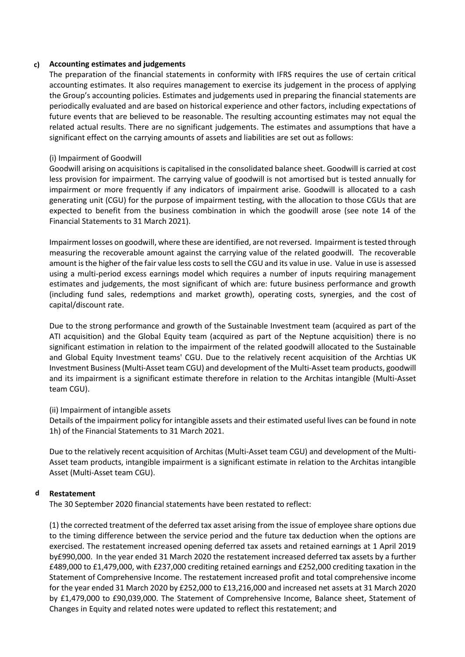# **c) Accounting estimates and judgements**

The preparation of the financial statements in conformity with IFRS requires the use of certain critical accounting estimates. It also requires management to exercise its judgement in the process of applying the Group's accounting policies. Estimates and judgements used in preparing the financial statements are periodically evaluated and are based on historical experience and other factors, including expectations of future events that are believed to be reasonable. The resulting accounting estimates may not equal the related actual results. There are no significant judgements. The estimates and assumptions that have a significant effect on the carrying amounts of assets and liabilities are set out as follows:

# (i) Impairment of Goodwill

Goodwill arising on acquisitions is capitalised in the consolidated balance sheet. Goodwill is carried at cost less provision for impairment. The carrying value of goodwill is not amortised but is tested annually for impairment or more frequently if any indicators of impairment arise. Goodwill is allocated to a cash generating unit (CGU) for the purpose of impairment testing, with the allocation to those CGUs that are expected to benefit from the business combination in which the goodwill arose (see note 14 of the Financial Statements to 31 March 2021).

Impairment losses on goodwill, where these are identified, are not reversed. Impairment is tested through measuring the recoverable amount against the carrying value of the related goodwill. The recoverable amount is the higher of the fair value less costs to sell the CGU and its value in use. Value in use is assessed using a multi-period excess earnings model which requires a number of inputs requiring management estimates and judgements, the most significant of which are: future business performance and growth (including fund sales, redemptions and market growth), operating costs, synergies, and the cost of capital/discount rate.

Due to the strong performance and growth of the Sustainable Investment team (acquired as part of the ATI acquisition) and the Global Equity team (acquired as part of the Neptune acquisition) there is no significant estimation in relation to the impairment of the related goodwill allocated to the Sustainable and Global Equity Investment teams' CGU. Due to the relatively recent acquisition of the Archtias UK Investment Business (Multi-Asset team CGU) and development of the Multi-Asset team products, goodwill and its impairment is a significant estimate therefore in relation to the Architas intangible (Multi-Asset team CGU).

# (ii) Impairment of intangible assets

Details of the impairment policy for intangible assets and their estimated useful lives can be found in note 1h) of the Financial Statements to 31 March 2021.

Due to the relatively recent acquisition of Architas (Multi-Asset team CGU) and development of the Multi-Asset team products, intangible impairment is a significant estimate in relation to the Architas intangible Asset (Multi-Asset team CGU).

# **d Restatement**

The 30 September 2020 financial statements have been restated to reflect:

(1) the corrected treatment of the deferred tax asset arising from the issue of employee share options due to the timing difference between the service period and the future tax deduction when the options are exercised. The restatement increased opening deferred tax assets and retained earnings at 1 April 2019 by£990,000. In the year ended 31 March 2020 the restatement increased deferred tax assets by a further £489,000 to £1,479,000, with £237,000 crediting retained earnings and £252,000 crediting taxation in the Statement of Comprehensive Income. The restatement increased profit and total comprehensive income for the year ended 31 March 2020 by £252,000 to £13,216,000 and increased net assets at 31 March 2020 by £1,479,000 to £90,039,000. The Statement of Comprehensive Income, Balance sheet, Statement of Changes in Equity and related notes were updated to reflect this restatement; and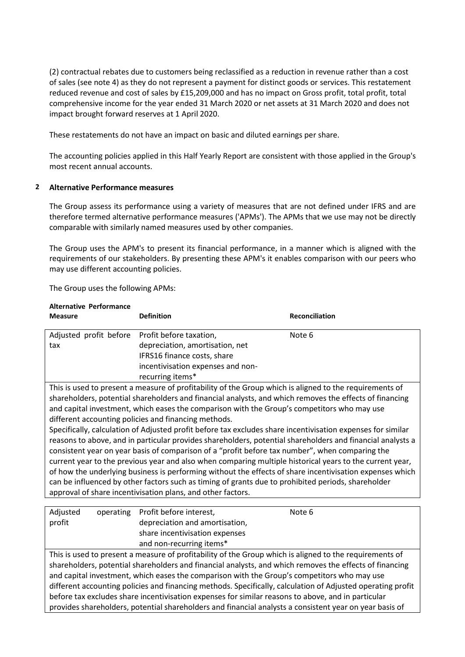(2) contractual rebates due to customers being reclassified as a reduction in revenue rather than a cost of sales (see note 4) as they do not represent a payment for distinct goods or services. This restatement reduced revenue and cost of sales by £15,209,000 and has no impact on Gross profit, total profit, total comprehensive income for the year ended 31 March 2020 or net assets at 31 March 2020 and does not impact brought forward reserves at 1 April 2020.

These restatements do not have an impact on basic and diluted earnings per share.

The accounting policies applied in this Half Yearly Report are consistent with those applied in the Group's most recent annual accounts.

# **2 Alternative Performance measures**

The Group assess its performance using a variety of measures that are not defined under IFRS and are therefore termed alternative performance measures ('APMs'). The APMs that we use may not be directly comparable with similarly named measures used by other companies.

The Group uses the APM's to present its financial performance, in a manner which is aligned with the requirements of our stakeholders. By presenting these APM's it enables comparison with our peers who may use different accounting policies.

The Group uses the following APMs:

| <b>Alternative Performance</b><br><b>Measure</b> | <b>Definition</b>                                                                                           | <b>Reconciliation</b> |
|--------------------------------------------------|-------------------------------------------------------------------------------------------------------------|-----------------------|
| Adjusted profit before                           | Profit before taxation,                                                                                     | Note 6                |
| tax                                              | depreciation, amortisation, net                                                                             |                       |
|                                                  | IFRS16 finance costs, share                                                                                 |                       |
|                                                  | incentivisation expenses and non-                                                                           |                       |
|                                                  | recurring items*                                                                                            |                       |
|                                                  | This is used to present a measure of profitability of the Group which is aligned to the requirements of     |                       |
|                                                  | shareholders, potential shareholders and financial analysts, and which removes the effects of financing     |                       |
|                                                  | and capital investment, which eases the comparison with the Group's competitors who may use                 |                       |
|                                                  | different accounting policies and financing methods.                                                        |                       |
|                                                  | Specifically, calculation of Adjusted profit before tax excludes share incentivisation expenses for similar |                       |
|                                                  | reasons to above, and in particular provides shareholders, potential shareholders and financial analysts a  |                       |
|                                                  | consistent year on year basis of comparison of a "profit before tax number", when comparing the             |                       |
|                                                  | current year to the previous year and also when comparing multiple historical years to the current year,    |                       |
|                                                  | of how the underlying business is performing without the effects of share incentivisation expenses which    |                       |
|                                                  | can be influenced by other factors such as timing of grants due to prohibited periods, shareholder          |                       |
|                                                  | approval of share incentivisation plans, and other factors.                                                 |                       |
|                                                  |                                                                                                             |                       |
| Adjusted<br>operating                            | Profit before interest,                                                                                     | Note 6                |
| profit                                           | depreciation and amortisation,                                                                              |                       |
|                                                  | share incentivisation expenses                                                                              |                       |

and non-recurring items\* This is used to present a measure of profitability of the Group which is aligned to the requirements of shareholders, potential shareholders and financial analysts, and which removes the effects of financing and capital investment, which eases the comparison with the Group's competitors who may use different accounting policies and financing methods. Specifically, calculation of Adjusted operating profit before tax excludes share incentivisation expenses for similar reasons to above, and in particular provides shareholders, potential shareholders and financial analysts a consistent year on year basis of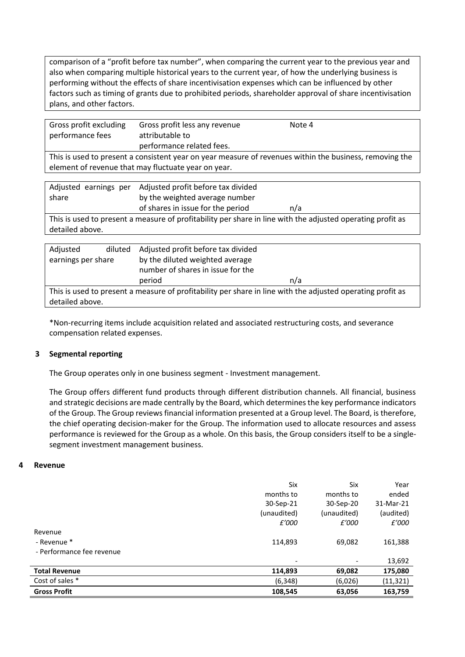comparison of a "profit before tax number", when comparing the current year to the previous year and also when comparing multiple historical years to the current year, of how the underlying business is performing without the effects of share incentivisation expenses which can be influenced by other factors such as timing of grants due to prohibited periods, shareholder approval of share incentivisation plans, and other factors.

| Gross profit excluding<br>performance fees | Gross profit less any revenue<br>attributable to<br>performance related fees.                           | Note 4 |
|--------------------------------------------|---------------------------------------------------------------------------------------------------------|--------|
|                                            | This is used to present a consistent year on year measure of revenues within the business, removing the |        |

element of revenue that may fluctuate year on year.

| share | Adjusted earnings per Adjusted profit before tax divided<br>by the weighted average number |                                                                                                            |
|-------|--------------------------------------------------------------------------------------------|------------------------------------------------------------------------------------------------------------|
|       | of shares in issue for the period                                                          | n/a                                                                                                        |
|       |                                                                                            | This is used to present a measure of profitability per share in line with the adjusted operating profit as |

detailed above.

| Adjusted           | diluted | Adjusted profit before tax divided |                                                                                                            |
|--------------------|---------|------------------------------------|------------------------------------------------------------------------------------------------------------|
| earnings per share |         | by the diluted weighted average    |                                                                                                            |
|                    |         | number of shares in issue for the  |                                                                                                            |
|                    |         | period                             | n/a                                                                                                        |
|                    |         |                                    | This is used to present a measure of profitability per share in line with the adjusted operating profit as |
| detailed above.    |         |                                    |                                                                                                            |

\*Non-recurring items include acquisition related and associated restructuring costs, and severance compensation related expenses.

# **3 Segmental reporting**

The Group operates only in one business segment - Investment management.

The Group offers different fund products through different distribution channels. All financial, business and strategic decisions are made centrally by the Board, which determines the key performance indicators of the Group. The Group reviews financial information presented at a Group level. The Board, is therefore, the chief operating decision-maker for the Group. The information used to allocate resources and assess performance is reviewed for the Group as a whole. On this basis, the Group considers itself to be a singlesegment investment management business.

# **4 Revenue**

|                           | Six                      | Six                      | Year      |
|---------------------------|--------------------------|--------------------------|-----------|
|                           | months to                | months to                | ended     |
|                           | 30-Sep-21                | 30-Sep-20                | 31-Mar-21 |
|                           | (unaudited)              | (unaudited)              | (audited) |
|                           | £'000                    | £'000                    | £'000     |
| Revenue                   |                          |                          |           |
| - Revenue *               | 114,893                  | 69,082                   | 161,388   |
| - Performance fee revenue |                          |                          |           |
|                           | $\overline{\phantom{a}}$ | $\overline{\phantom{a}}$ | 13,692    |
| <b>Total Revenue</b>      | 114,893                  | 69,082                   | 175,080   |
| Cost of sales *           | (6, 348)                 | (6,026)                  | (11, 321) |
| <b>Gross Profit</b>       | 108,545                  | 63,056                   | 163,759   |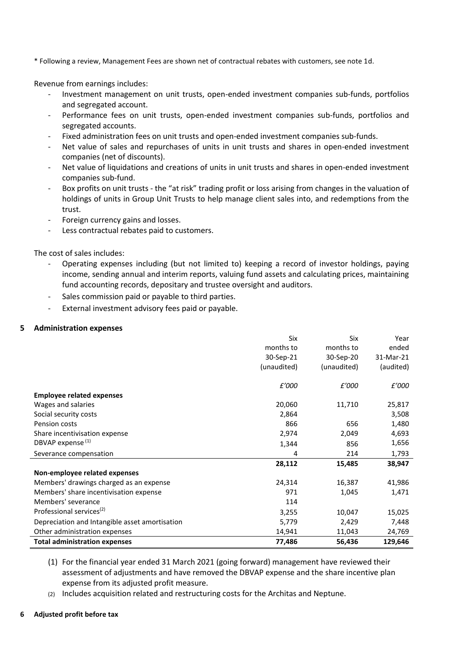\* Following a review, Management Fees are shown net of contractual rebates with customers, see note 1d.

Revenue from earnings includes:

- Investment management on unit trusts, open-ended investment companies sub-funds, portfolios and segregated account.
- Performance fees on unit trusts, open-ended investment companies sub-funds, portfolios and segregated accounts.
- Fixed administration fees on unit trusts and open-ended investment companies sub-funds.
- Net value of sales and repurchases of units in unit trusts and shares in open-ended investment companies (net of discounts).
- Net value of liquidations and creations of units in unit trusts and shares in open-ended investment companies sub-fund.
- Box profits on unit trusts the "at risk" trading profit or loss arising from changes in the valuation of holdings of units in Group Unit Trusts to help manage client sales into, and redemptions from the trust.
- Foreign currency gains and losses.
- Less contractual rebates paid to customers.

The cost of sales includes:

- Operating expenses including (but not limited to) keeping a record of investor holdings, paying income, sending annual and interim reports, valuing fund assets and calculating prices, maintaining fund accounting records, depositary and trustee oversight and auditors.
- Sales commission paid or payable to third parties.
- External investment advisory fees paid or payable.

### **5 Administration expenses**

|                                                | Six         | Six         | Year      |
|------------------------------------------------|-------------|-------------|-----------|
|                                                | months to   | months to   | ended     |
|                                                | 30-Sep-21   | 30-Sep-20   | 31-Mar-21 |
|                                                | (unaudited) | (unaudited) | (audited) |
|                                                | £'000       | £'000       | £'000     |
| <b>Employee related expenses</b>               |             |             |           |
| Wages and salaries                             | 20,060      | 11,710      | 25,817    |
| Social security costs                          | 2,864       |             | 3,508     |
| Pension costs                                  | 866         | 656         | 1,480     |
| Share incentivisation expense                  | 2,974       | 2,049       | 4,693     |
| DBVAP expense <sup>(1)</sup>                   | 1,344       | 856         | 1,656     |
| Severance compensation                         | 4           | 214         | 1,793     |
|                                                | 28,112      | 15,485      | 38,947    |
| Non-employee related expenses                  |             |             |           |
| Members' drawings charged as an expense        | 24,314      | 16,387      | 41,986    |
| Members' share incentivisation expense         | 971         | 1,045       | 1,471     |
| Members' severance                             | 114         |             |           |
| Professional services <sup>(2)</sup>           | 3,255       | 10,047      | 15,025    |
| Depreciation and Intangible asset amortisation | 5,779       | 2,429       | 7,448     |
| Other administration expenses                  | 14,941      | 11,043      | 24,769    |
| <b>Total administration expenses</b>           | 77,486      | 56,436      | 129,646   |

- (1) For the financial year ended 31 March 2021 (going forward) management have reviewed their assessment of adjustments and have removed the DBVAP expense and the share incentive plan expense from its adjusted profit measure.
- (2) Includes acquisition related and restructuring costs for the Architas and Neptune.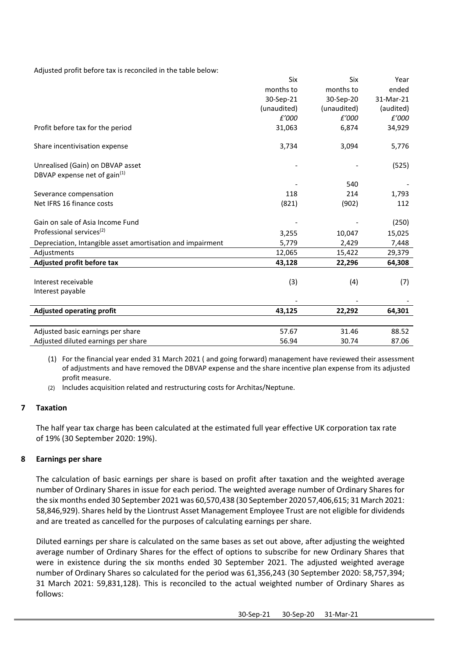Adjusted profit before tax is reconciled in the table below:

|                                                            | Six         | Six         | Year      |
|------------------------------------------------------------|-------------|-------------|-----------|
|                                                            | months to   | months to   | ended     |
|                                                            | 30-Sep-21   | 30-Sep-20   | 31-Mar-21 |
|                                                            | (unaudited) | (unaudited) | (audited) |
|                                                            | £'000       | £'000       | £'000     |
| Profit before tax for the period                           | 31,063      | 6,874       | 34,929    |
| Share incentivisation expense                              | 3,734       | 3,094       | 5,776     |
| Unrealised (Gain) on DBVAP asset                           |             |             | (525)     |
| DBVAP expense net of gain <sup>(1)</sup>                   |             |             |           |
|                                                            |             | 540         |           |
| Severance compensation                                     | 118         | 214         | 1,793     |
| Net IFRS 16 finance costs                                  | (821)       | (902)       | 112       |
| Gain on sale of Asia Income Fund                           |             |             | (250)     |
| Professional services <sup>(2)</sup>                       | 3,255       | 10,047      | 15,025    |
| Depreciation, Intangible asset amortisation and impairment | 5,779       | 2,429       | 7,448     |
| Adjustments                                                | 12,065      | 15,422      | 29,379    |
| Adjusted profit before tax                                 | 43,128      | 22,296      | 64,308    |
|                                                            |             |             |           |
| Interest receivable                                        | (3)         | (4)         | (7)       |
| Interest payable                                           |             |             |           |
| <b>Adjusted operating profit</b>                           | 43,125      | 22,292      | 64,301    |
|                                                            |             |             |           |
| Adjusted basic earnings per share                          | 57.67       | 31.46       | 88.52     |
| Adjusted diluted earnings per share                        | 56.94       | 30.74       | 87.06     |

(1) For the financial year ended 31 March 2021 ( and going forward) management have reviewed their assessment of adjustments and have removed the DBVAP expense and the share incentive plan expense from its adjusted profit measure.

(2) Includes acquisition related and restructuring costs for Architas/Neptune.

# **7 Taxation**

The half year tax charge has been calculated at the estimated full year effective UK corporation tax rate of 19% (30 September 2020: 19%).

# **8 Earnings per share**

The calculation of basic earnings per share is based on profit after taxation and the weighted average number of Ordinary Shares in issue for each period. The weighted average number of Ordinary Shares for the six months ended 30 September 2021 was 60,570,438 (30 September 2020 57,406,615; 31 March 2021: 58,846,929). Shares held by the Liontrust Asset Management Employee Trust are not eligible for dividends and are treated as cancelled for the purposes of calculating earnings per share.

Diluted earnings per share is calculated on the same bases as set out above, after adjusting the weighted average number of Ordinary Shares for the effect of options to subscribe for new Ordinary Shares that were in existence during the six months ended 30 September 2021. The adjusted weighted average number of Ordinary Shares so calculated for the period was 61,356,243 (30 September 2020: 58,757,394; 31 March 2021: 59,831,128). This is reconciled to the actual weighted number of Ordinary Shares as follows: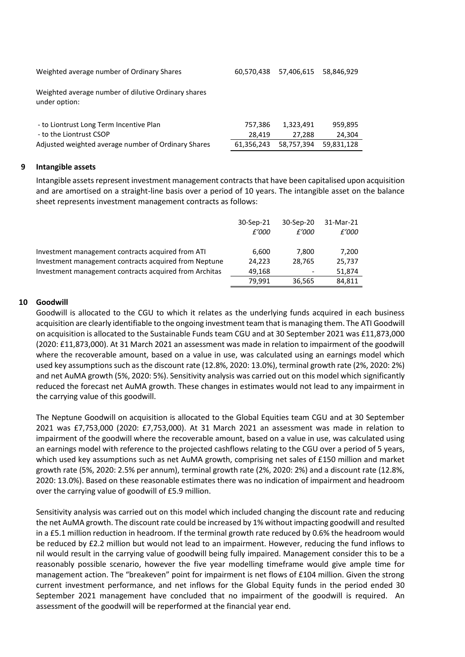Weighted average number of Ordinary Shares 60,570,438 57,406,615 58,846,929

Weighted average number of dilutive Ordinary shares under option:

| - to Liontrust Long Term Incentive Plan             | 757.386 | 1.323.491                        | 959.895 |
|-----------------------------------------------------|---------|----------------------------------|---------|
| - to the Liontrust CSOP                             | 28.419  | 27.288                           | 24.304  |
| Adjusted weighted average number of Ordinary Shares |         | 61,356,243 58,757,394 59,831,128 |         |

# **9 Intangible assets**

Intangible assets represent investment management contracts that have been capitalised upon acquisition and are amortised on a straight-line basis over a period of 10 years. The intangible asset on the balance sheet represents investment management contracts as follows:

|                                                        | 30-Sep-21<br>£'000 | 30-Sep-20<br>£'000       | 31-Mar-21<br>£'000 |
|--------------------------------------------------------|--------------------|--------------------------|--------------------|
| Investment management contracts acquired from ATI      | 6.600              | 7.800                    | 7.200              |
| Investment management contracts acquired from Neptune  | 24.223             | 28.765                   | 25.737             |
| Investment management contracts acquired from Architas | 49.168             | $\overline{\phantom{0}}$ | 51.874             |
|                                                        | 79.991             | 36,565                   | 84,811             |

# **10 Goodwill**

Goodwill is allocated to the CGU to which it relates as the underlying funds acquired in each business acquisition are clearly identifiable to the ongoing investment team that is managing them. The ATI Goodwill on acquisition is allocated to the Sustainable Funds team CGU and at 30 September 2021 was £11,873,000 (2020: £11,873,000). At 31 March 2021 an assessment was made in relation to impairment of the goodwill where the recoverable amount, based on a value in use, was calculated using an earnings model which used key assumptions such as the discount rate (12.8%, 2020: 13.0%), terminal growth rate (2%, 2020: 2%) and net AuMA growth (5%, 2020: 5%). Sensitivity analysis was carried out on this model which significantly reduced the forecast net AuMA growth. These changes in estimates would not lead to any impairment in the carrying value of this goodwill.

The Neptune Goodwill on acquisition is allocated to the Global Equities team CGU and at 30 September 2021 was £7,753,000 (2020: £7,753,000). At 31 March 2021 an assessment was made in relation to impairment of the goodwill where the recoverable amount, based on a value in use, was calculated using an earnings model with reference to the projected cashflows relating to the CGU over a period of 5 years, which used key assumptions such as net AuMA growth, comprising net sales of £150 million and market growth rate (5%, 2020: 2.5% per annum), terminal growth rate (2%, 2020: 2%) and a discount rate (12.8%, 2020: 13.0%). Based on these reasonable estimates there was no indication of impairment and headroom over the carrying value of goodwill of £5.9 million.

Sensitivity analysis was carried out on this model which included changing the discount rate and reducing the net AuMA growth. The discount rate could be increased by 1% without impacting goodwill and resulted in a £5.1 million reduction in headroom. If the terminal growth rate reduced by 0.6% the headroom would be reduced by £2.2 million but would not lead to an impairment. However, reducing the fund inflows to nil would result in the carrying value of goodwill being fully impaired. Management consider this to be a reasonably possible scenario, however the five year modelling timeframe would give ample time for management action. The "breakeven" point for impairment is net flows of £104 million. Given the strong current investment performance, and net inflows for the Global Equity funds in the period ended 30 September 2021 management have concluded that no impairment of the goodwill is required. An assessment of the goodwill will be reperformed at the financial year end.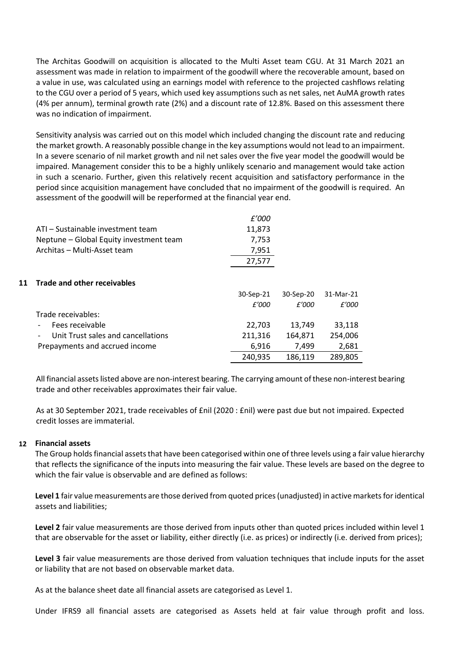The Architas Goodwill on acquisition is allocated to the Multi Asset team CGU. At 31 March 2021 an assessment was made in relation to impairment of the goodwill where the recoverable amount, based on a value in use, was calculated using an earnings model with reference to the projected cashflows relating to the CGU over a period of 5 years, which used key assumptions such as net sales, net AuMA growth rates (4% per annum), terminal growth rate (2%) and a discount rate of 12.8%. Based on this assessment there was no indication of impairment.

Sensitivity analysis was carried out on this model which included changing the discount rate and reducing the market growth. A reasonably possible change in the key assumptions would not lead to an impairment. In a severe scenario of nil market growth and nil net sales over the five year model the goodwill would be impaired. Management consider this to be a highly unlikely scenario and management would take action in such a scenario. Further, given this relatively recent acquisition and satisfactory performance in the period since acquisition management have concluded that no impairment of the goodwill is required. An assessment of the goodwill will be reperformed at the financial year end.

|                                         | £'000  |
|-----------------------------------------|--------|
| ATI – Sustainable investment team       | 11,873 |
| Neptune - Global Equity investment team | 7.753  |
| Architas - Multi-Asset team             | 7.951  |
|                                         | 27,577 |
|                                         |        |

### **11 Trade and other receivables**

|                                    | 30-Sep-21 | 30-Sep-20 | 31-Mar-21 |
|------------------------------------|-----------|-----------|-----------|
|                                    | £'000     | £'000     | £'000     |
| Trade receivables:                 |           |           |           |
| Fees receivable                    | 22.703    | 13.749    | 33,118    |
| Unit Trust sales and cancellations | 211.316   | 164.871   | 254,006   |
| Prepayments and accrued income     | 6.916     | 7.499     | 2.681     |
|                                    | 240,935   | 186,119   | 289,805   |

All financial assets listed above are non-interest bearing. The carrying amount of these non-interest bearing trade and other receivables approximates their fair value.

As at 30 September 2021, trade receivables of £nil (2020 : £nil) were past due but not impaired. Expected credit losses are immaterial.

# **12 Financial assets**

The Group holds financial assets that have been categorised within one of three levels using a fair value hierarchy that reflects the significance of the inputs into measuring the fair value. These levels are based on the degree to which the fair value is observable and are defined as follows:

**Level 1** fair value measurements are those derived from quoted prices (unadjusted) in active markets for identical assets and liabilities;

**Level 2** fair value measurements are those derived from inputs other than quoted prices included within level 1 that are observable for the asset or liability, either directly (i.e. as prices) or indirectly (i.e. derived from prices);

**Level 3** fair value measurements are those derived from valuation techniques that include inputs for the asset or liability that are not based on observable market data.

As at the balance sheet date all financial assets are categorised as Level 1.

Under IFRS9 all financial assets are categorised as Assets held at fair value through profit and loss.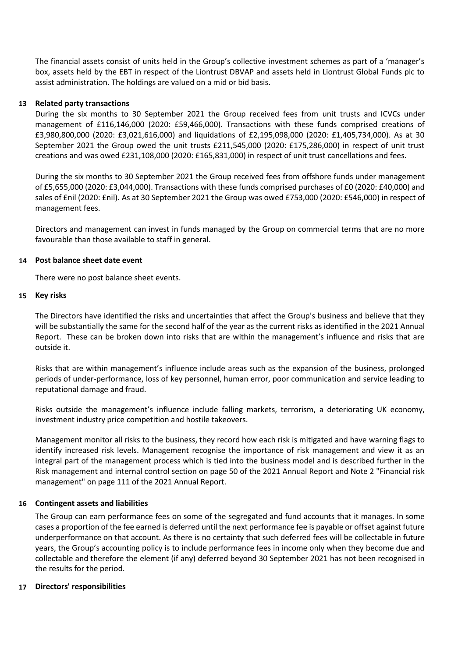The financial assets consist of units held in the Group's collective investment schemes as part of a 'manager's box, assets held by the EBT in respect of the Liontrust DBVAP and assets held in Liontrust Global Funds plc to assist administration. The holdings are valued on a mid or bid basis.

# **13 Related party transactions**

During the six months to 30 September 2021 the Group received fees from unit trusts and ICVCs under management of £116,146,000 (2020: £59,466,000). Transactions with these funds comprised creations of £3,980,800,000 (2020: £3,021,616,000) and liquidations of £2,195,098,000 (2020: £1,405,734,000). As at 30 September 2021 the Group owed the unit trusts £211,545,000 (2020: £175,286,000) in respect of unit trust creations and was owed £231,108,000 (2020: £165,831,000) in respect of unit trust cancellations and fees.

During the six months to 30 September 2021 the Group received fees from offshore funds under management of £5,655,000 (2020: £3,044,000). Transactions with these funds comprised purchases of £0 (2020: £40,000) and sales of £nil (2020: £nil). As at 30 September 2021 the Group was owed £753,000 (2020: £546,000) in respect of management fees.

Directors and management can invest in funds managed by the Group on commercial terms that are no more favourable than those available to staff in general.

#### **14 Post balance sheet date event**

There were no post balance sheet events.

### **15 Key risks**

The Directors have identified the risks and uncertainties that affect the Group's business and believe that they will be substantially the same for the second half of the year as the current risks as identified in the 2021 Annual Report. These can be broken down into risks that are within the management's influence and risks that are outside it.

Risks that are within management's influence include areas such as the expansion of the business, prolonged periods of under-performance, loss of key personnel, human error, poor communication and service leading to reputational damage and fraud.

Risks outside the management's influence include falling markets, terrorism, a deteriorating UK economy, investment industry price competition and hostile takeovers.

Management monitor all risks to the business, they record how each risk is mitigated and have warning flags to identify increased risk levels. Management recognise the importance of risk management and view it as an integral part of the management process which is tied into the business model and is described further in the Risk management and internal control section on page 50 of the 2021 Annual Report and Note 2 "Financial risk management" on page 111 of the 2021 Annual Report.

#### **16 Contingent assets and liabilities**

The Group can earn performance fees on some of the segregated and fund accounts that it manages. In some cases a proportion of the fee earned is deferred until the next performance fee is payable or offset against future underperformance on that account. As there is no certainty that such deferred fees will be collectable in future years, the Group's accounting policy is to include performance fees in income only when they become due and collectable and therefore the element (if any) deferred beyond 30 September 2021 has not been recognised in the results for the period.

# **17 Directors' responsibilities**